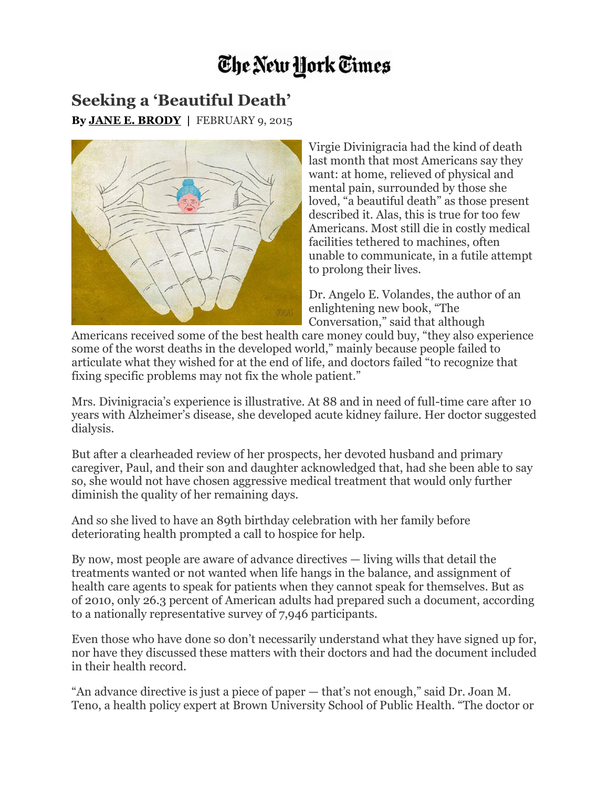## The New York Times

## **Seeking a 'Beautiful Death'**

**By [JANE E. BRODY](http://well.blogs.nytimes.com/author/jane-e-brody/) |** FEBRUARY 9, 2015



Virgie Divinigracia had the kind of death last month that most Americans say they want: at home, relieved of physical and mental pain, surrounded by those she loved, "a beautiful death" as those present described it. Alas, this is true for too few Americans. Most still die in costly medical facilities tethered to machines, often unable to communicate, in a futile attempt to prolong their lives.

Dr. Angelo E. Volandes, the author of an enlightening new book, "The Conversation," said that although

Americans received some of the best health care money could buy, "they also experience some of the worst deaths in the developed world," mainly because people failed to articulate what they wished for at the end of life, and doctors failed "to recognize that fixing specific problems may not fix the whole patient."

Mrs. Divinigracia's experience is illustrative. At 88 and in need of full-time care after 10 years with Alzheimer's disease, she developed acute kidney failure. Her doctor suggested dialysis.

But after a clearheaded review of her prospects, her devoted husband and primary caregiver, Paul, and their son and daughter acknowledged that, had she been able to say so, she would not have chosen aggressive medical treatment that would only further diminish the quality of her remaining days.

And so she lived to have an 89th birthday celebration with her family before deteriorating health prompted a call to hospice for help.

By now, most people are aware of advance directives — living wills that detail the treatments wanted or not wanted when life hangs in the balance, and assignment of health care agents to speak for patients when they cannot speak for themselves. But as of 2010, only 26.3 percent of American adults had prepared such a document, according to a nationally representative survey of 7,946 participants.

Even those who have done so don't necessarily understand what they have signed up for, nor have they discussed these matters with their doctors and had the document included in their health record.

"An advance directive is just a piece of paper — that's not enough," said Dr. Joan M. Teno, a health policy expert at Brown University School of Public Health. "The doctor or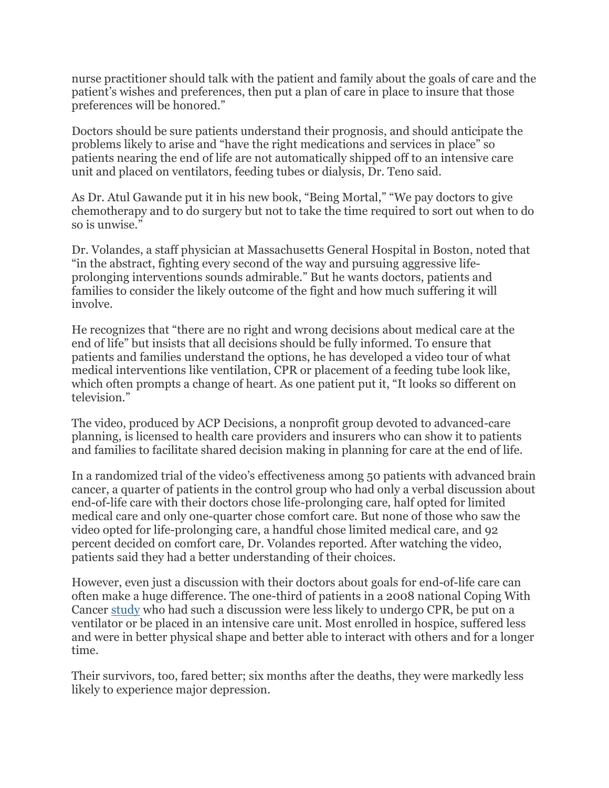nurse practitioner should talk with the patient and family about the goals of care and the patient's wishes and preferences, then put a plan of care in place to insure that those preferences will be honored."

Doctors should be sure patients understand their prognosis, and should anticipate the problems likely to arise and "have the right medications and services in place" so patients nearing the end of life are not automatically shipped off to an intensive care unit and placed on ventilators, feeding tubes or dialysis, Dr. Teno said.

As Dr. Atul Gawande put it in his new book, "Being Mortal," "We pay doctors to give chemotherapy and to do surgery but not to take the time required to sort out when to do so is unwise."

Dr. Volandes, a staff physician at Massachusetts General Hospital in Boston, noted that "in the abstract, fighting every second of the way and pursuing aggressive lifeprolonging interventions sounds admirable." But he wants doctors, patients and families to consider the likely outcome of the fight and how much suffering it will involve.

He recognizes that "there are no right and wrong decisions about medical care at the end of life" but insists that all decisions should be fully informed. To ensure that patients and families understand the options, he has developed a video tour of what medical interventions like ventilation, CPR or placement of a feeding tube look like, which often prompts a change of heart. As one patient put it, "It looks so different on television."

The video, produced by ACP Decisions, a nonprofit group devoted to advanced-care planning, is licensed to health care providers and insurers who can show it to patients and families to facilitate shared decision making in planning for care at the end of life.

In a randomized trial of the video's effectiveness among 50 patients with advanced brain cancer, a quarter of patients in the control group who had only a verbal discussion about end-of-life care with their doctors chose life-prolonging care, half opted for limited medical care and only one-quarter chose comfort care. But none of those who saw the video opted for life-prolonging care, a handful chose limited medical care, and 92 percent decided on comfort care, Dr. Volandes reported. After watching the video, patients said they had a better understanding of their choices.

However, even just a discussion with their doctors about goals for end-of-life care can often make a huge difference. The one-third of patients in a 2008 national Coping With Cancer [study](http://www.ncbi.nlm.nih.gov/pmc/articles/PMC2853806/) who had such a discussion were less likely to undergo CPR, be put on a ventilator or be placed in an intensive care unit. Most enrolled in hospice, suffered less and were in better physical shape and better able to interact with others and for a longer time.

Their survivors, too, fared better; six months after the deaths, they were markedly less likely to experience major depression.